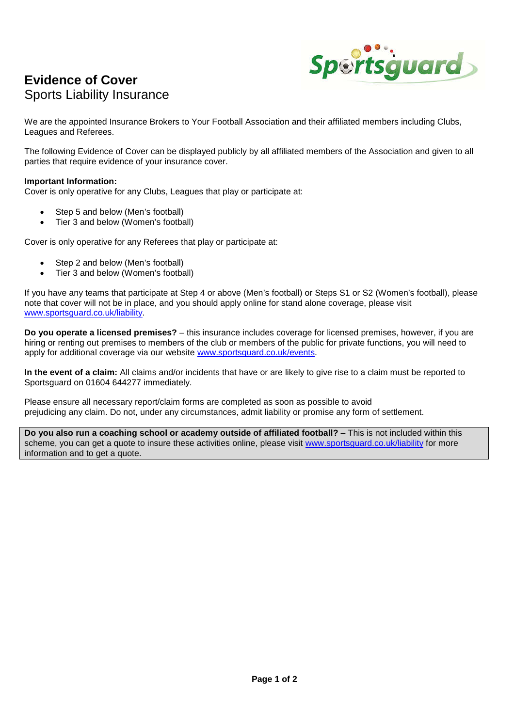## **Evidence of Cover**  Sports Liability Insurance



We are the appointed Insurance Brokers to Your Football Association and their affiliated members including Clubs, Leagues and Referees.

The following Evidence of Cover can be displayed publicly by all affiliated members of the Association and given to all parties that require evidence of your insurance cover.

## **Important Information:**

Cover is only operative for any Clubs, Leagues that play or participate at:

- Step 5 and below (Men's football)
- Tier 3 and below (Women's football)

Cover is only operative for any Referees that play or participate at:

- Step 2 and below (Men's football)
- Tier 3 and below (Women's football)

If you have any teams that participate at Step 4 or above (Men's football) or Steps S1 or S2 (Women's football), please note that cover will not be in place, and you should apply online for stand alone coverage, please visit www.sportsguard.co.uk/liability.

**Do you operate a licensed premises?** – this insurance includes coverage for licensed premises, however, if you are hiring or renting out premises to members of the club or members of the public for private functions, you will need to apply for additional coverage via our website www.sportsguard.co.uk/events.

**In the event of a claim:** All claims and/or incidents that have or are likely to give rise to a claim must be reported to Sportsguard on 01604 644277 immediately.

Please ensure all necessary report/claim forms are completed as soon as possible to avoid prejudicing any claim. Do not, under any circumstances, admit liability or promise any form of settlement.

**Do you also run a coaching school or academy outside of affiliated football?** – This is not included within this scheme, you can get a quote to insure these activities online, please visit www.sportsguard.co.uk/liability for more information and to get a quote.